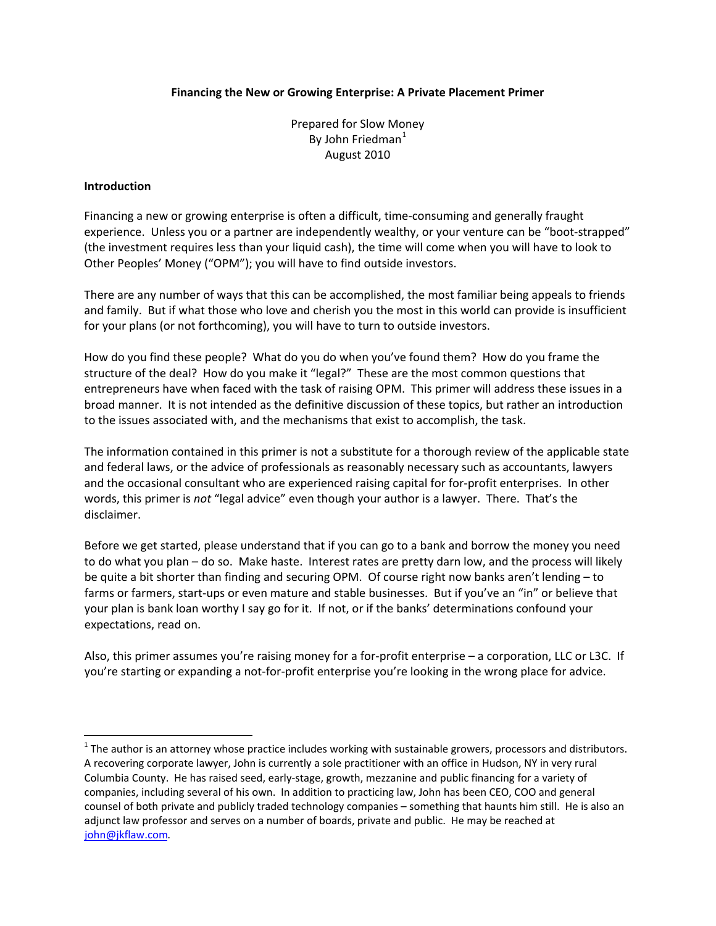#### **Financing the New or Growing Enterprise: A Private Placement Primer**

Prepared for Slow Money By John Friedman $<sup>1</sup>$  $<sup>1</sup>$  $<sup>1</sup>$ </sup> August 2010

#### **Introduction**

Financing a new or growing enterprise is often a difficult, time-consuming and generally fraught experience. Unless you or a partner are independently wealthy, or your venture can be "boot-strapped" (the investment requires less than your liquid cash), the time will come when you will have to look to Other Peoples' Money ("OPM"); you will have to find outside investors.

There are any number of ways that this can be accomplished, the most familiar being appeals to friends and family. But if what those who love and cherish you the most in this world can provide is insufficient for your plans (or not forthcoming), you will have to turn to outside investors.

How do you find these people? What do you do when you've found them? How do you frame the structure of the deal? How do you make it "legal?" These are the most common questions that entrepreneurs have when faced with the task of raising OPM. This primer will address these issues in a broad manner. It is not intended as the definitive discussion of these topics, but rather an introduction to the issues associated with, and the mechanisms that exist to accomplish, the task.

The information contained in this primer is not a substitute for a thorough review of the applicable state and federal laws, or the advice of professionals as reasonably necessary such as accountants, lawyers and the occasional consultant who are experienced raising capital for for-profit enterprises. In other words, this primer is *not* "legal advice" even though your author is a lawyer. There. That's the disclaimer.

Before we get started, please understand that if you can go to a bank and borrow the money you need to do what you plan – do so. Make haste. Interest rates are pretty darn low, and the process will likely be quite a bit shorter than finding and securing OPM. Of course right now banks aren't lending – to farms or farmers, start-ups or even mature and stable businesses. But if you've an "in" or believe that your plan is bank loan worthy I say go for it. If not, or if the banks' determinations confound your expectations, read on.

Also, this primer assumes you're raising money for a for‐profit enterprise – a corporation, LLC or L3C. If you're starting or expanding a not‐for‐profit enterprise you're looking in the wrong place for advice.

<span id="page-0-0"></span> $1$  The author is an attorney whose practice includes working with sustainable growers, processors and distributors. A recovering corporate lawyer, John is currently a sole practitioner with an office in Hudson, NY in very rural Columbia County. He has raised seed, early‐stage, growth, mezzanine and public financing for a variety of companies, including several of his own. In addition to practicing law, John has been CEO, COO and general counsel of both private and publicly traded technology companies – something that haunts him still. He is also an adjunct law professor and serves on a number of boards, private and public. He may be reached at [john@jkflaw.com](mailto:john@jkflaw.com).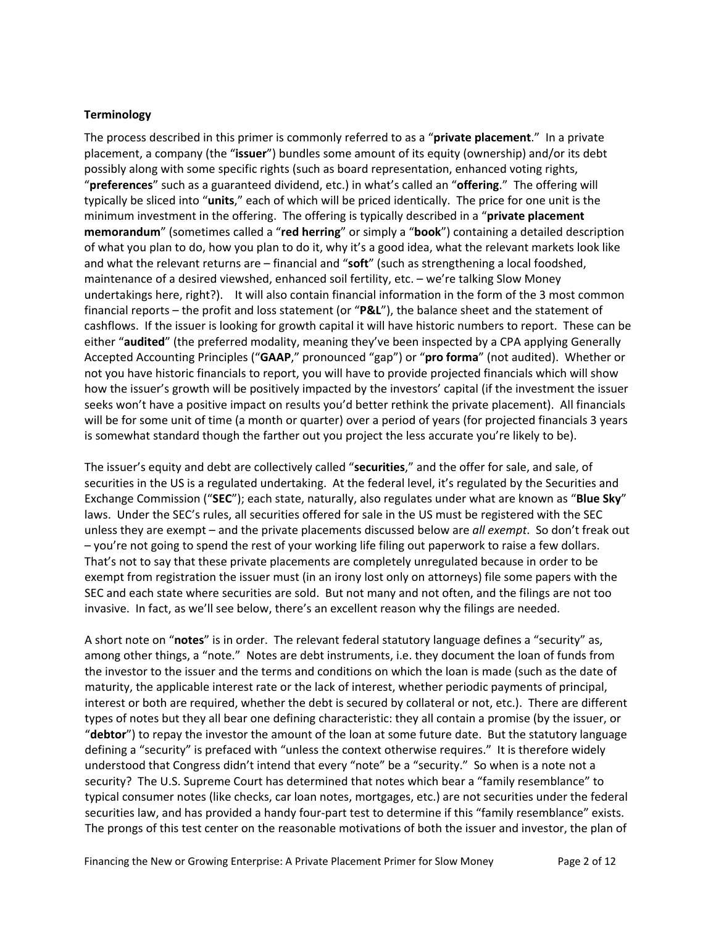#### **Terminology**

The process described in this primer is commonly referred to as a "**private placement**." In a private placement, a company (the "**issuer**") bundles some amount of its equity (ownership) and/or its debt possibly along with some specific rights (such as board representation, enhanced voting rights, "**preferences**" such as a guaranteed dividend, etc.) in what's called an "**offering**." The offering will typically be sliced into "**units**," each of which will be priced identically. The price for one unit is the minimum investment in the offering. The offering is typically described in a "**private placement memorandum**" (sometimes called a "**red herring**" or simply a "**book**") containing a detailed description of what you plan to do, how you plan to do it, why it's a good idea, what the relevant markets look like and what the relevant returns are – financial and "**soft**" (such as strengthening a local foodshed, maintenance of a desired viewshed, enhanced soil fertility, etc. – we're talking Slow Money undertakings here, right?). It will also contain financial information in the form of the 3 most common financial reports – the profit and loss statement (or "**P&L**"), the balance sheet and the statement of cashflows. If the issuer is looking for growth capital it will have historic numbers to report. These can be either "**audited**" (the preferred modality, meaning they've been inspected by a CPA applying Generally Accepted Accounting Principles ("**GAAP**," pronounced "gap") or "**pro forma**" (not audited). Whether or not you have historic financials to report, you will have to provide projected financials which will show how the issuer's growth will be positively impacted by the investors' capital (if the investment the issuer seeks won't have a positive impact on results you'd better rethink the private placement). All financials will be for some unit of time (a month or quarter) over a period of years (for projected financials 3 years is somewhat standard though the farther out you project the less accurate you're likely to be).

The issuer's equity and debt are collectively called "**securities**," and the offer for sale, and sale, of securities in the US is a regulated undertaking. At the federal level, it's regulated by the Securities and Exchange Commission ("**SEC**"); each state, naturally, also regulates under what are known as "**Blue Sky**" laws. Under the SEC's rules, all securities offered for sale in the US must be registered with the SEC unless they are exempt – and the private placements discussed below are *all exempt*. So don't freak out – you're not going to spend the rest of your working life filing out paperwork to raise a few dollars. That's not to say that these private placements are completely unregulated because in order to be exempt from registration the issuer must (in an irony lost only on attorneys) file some papers with the SEC and each state where securities are sold. But not many and not often, and the filings are not too invasive. In fact, as we'll see below, there's an excellent reason why the filings are needed.

A short note on "**notes**" is in order. The relevant federal statutory language defines a "security" as, among other things, a "note." Notes are debt instruments, i.e. they document the loan of funds from the investor to the issuer and the terms and conditions on which the loan is made (such as the date of maturity, the applicable interest rate or the lack of interest, whether periodic payments of principal, interest or both are required, whether the debt is secured by collateral or not, etc.). There are different types of notes but they all bear one defining characteristic: they all contain a promise (by the issuer, or "**debtor**") to repay the investor the amount of the loan at some future date. But the statutory language defining a "security" is prefaced with "unless the context otherwise requires." It is therefore widely understood that Congress didn't intend that every "note" be a "security." So when is a note not a security? The U.S. Supreme Court has determined that notes which bear a "family resemblance" to typical consumer notes (like checks, car loan notes, mortgages, etc.) are not securities under the federal securities law, and has provided a handy four‐part test to determine if this "family resemblance" exists. The prongs of this test center on the reasonable motivations of both the issuer and investor, the plan of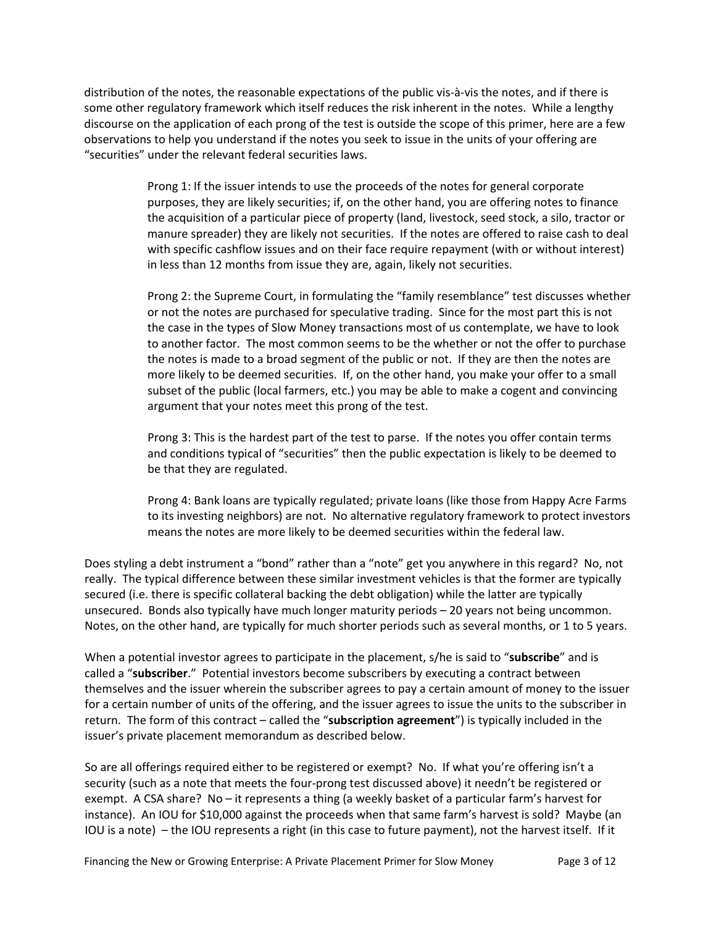distribution of the notes, the reasonable expectations of the public vis‐à‐vis the notes, and if there is some other regulatory framework which itself reduces the risk inherent in the notes. While a lengthy discourse on the application of each prong of the test is outside the scope of this primer, here are a few observations to help you understand if the notes you seek to issue in the units of your offering are "securities" under the relevant federal securities laws.

> Prong 1: If the issuer intends to use the proceeds of the notes for general corporate purposes, they are likely securities; if, on the other hand, you are offering notes to finance the acquisition of a particular piece of property (land, livestock, seed stock, a silo, tractor or manure spreader) they are likely not securities. If the notes are offered to raise cash to deal with specific cashflow issues and on their face require repayment (with or without interest) in less than 12 months from issue they are, again, likely not securities.

> Prong 2: the Supreme Court, in formulating the "family resemblance" test discusses whether or not the notes are purchased for speculative trading. Since for the most part this is not the case in the types of Slow Money transactions most of us contemplate, we have to look to another factor. The most common seems to be the whether or not the offer to purchase the notes is made to a broad segment of the public or not. If they are then the notes are more likely to be deemed securities. If, on the other hand, you make your offer to a small subset of the public (local farmers, etc.) you may be able to make a cogent and convincing argument that your notes meet this prong of the test.

Prong 3: This is the hardest part of the test to parse. If the notes you offer contain terms and conditions typical of "securities" then the public expectation is likely to be deemed to be that they are regulated.

Prong 4: Bank loans are typically regulated; private loans (like those from Happy Acre Farms to its investing neighbors) are not. No alternative regulatory framework to protect investors means the notes are more likely to be deemed securities within the federal law.

Does styling a debt instrument a "bond" rather than a "note" get you anywhere in this regard? No, not really. The typical difference between these similar investment vehicles is that the former are typically secured (i.e. there is specific collateral backing the debt obligation) while the latter are typically unsecured. Bonds also typically have much longer maturity periods – 20 years not being uncommon. Notes, on the other hand, are typically for much shorter periods such as several months, or 1 to 5 years.

When a potential investor agrees to participate in the placement, s/he is said to "**subscribe**" and is called a "**subscriber**." Potential investors become subscribers by executing a contract between themselves and the issuer wherein the subscriber agrees to pay a certain amount of money to the issuer for a certain number of units of the offering, and the issuer agrees to issue the units to the subscriber in return. The form of this contract – called the "**subscription agreement**") is typically included in the issuer's private placement memorandum as described below.

So are all offerings required either to be registered or exempt? No. If what you're offering isn't a security (such as a note that meets the four-prong test discussed above) it needn't be registered or exempt. A CSA share? No – it represents a thing (a weekly basket of a particular farm's harvest for instance). An IOU for \$10,000 against the proceeds when that same farm's harvest is sold? Maybe (an IOU is a note) – the IOU represents a right (in this case to future payment), not the harvest itself. If it

Financing the New or Growing Enterprise: A Private Placement Primer for Slow Money Page 3 of 12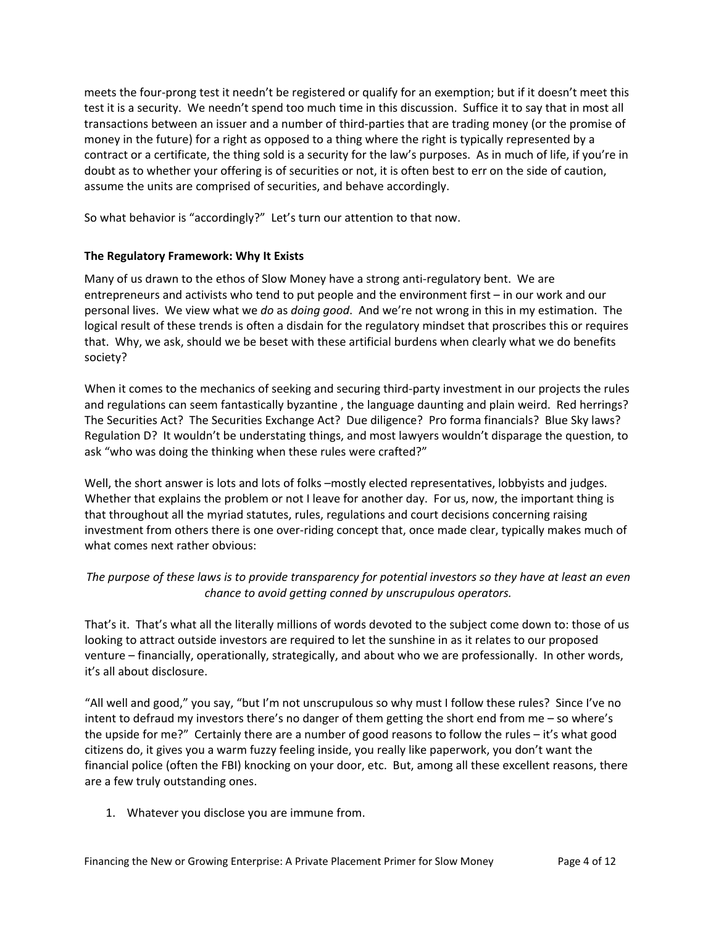meets the four‐prong test it needn't be registered or qualify for an exemption; but if it doesn't meet this test it is a security. We needn't spend too much time in this discussion. Suffice it to say that in most all transactions between an issuer and a number of third‐parties that are trading money (or the promise of money in the future) for a right as opposed to a thing where the right is typically represented by a contract or a certificate, the thing sold is a security for the law's purposes. As in much of life, if you're in doubt as to whether your offering is of securities or not, it is often best to err on the side of caution, assume the units are comprised of securities, and behave accordingly.

So what behavior is "accordingly?" Let's turn our attention to that now.

# **The Regulatory Framework: Why It Exists**

Many of us drawn to the ethos of Slow Money have a strong anti‐regulatory bent. We are entrepreneurs and activists who tend to put people and the environment first – in our work and our personal lives. We view what we *do* as *doing good*. And we're not wrong in this in my estimation. The logical result of these trends is often a disdain for the regulatory mindset that proscribes this or requires that. Why, we ask, should we be beset with these artificial burdens when clearly what we do benefits society?

When it comes to the mechanics of seeking and securing third‐party investment in our projects the rules and regulations can seem fantastically byzantine , the language daunting and plain weird. Red herrings? The Securities Act? The Securities Exchange Act? Due diligence? Pro forma financials? Blue Sky laws? Regulation D? It wouldn't be understating things, and most lawyers wouldn't disparage the question, to ask "who was doing the thinking when these rules were crafted?"

Well, the short answer is lots and lots of folks –mostly elected representatives, lobbyists and judges. Whether that explains the problem or not I leave for another day. For us, now, the important thing is that throughout all the myriad statutes, rules, regulations and court decisions concerning raising investment from others there is one over-riding concept that, once made clear, typically makes much of what comes next rather obvious:

# The purpose of these laws is to provide transparency for potential investors so they have at least an even *chance to avoid getting conned by unscrupulous operators.*

That's it. That's what all the literally millions of words devoted to the subject come down to: those of us looking to attract outside investors are required to let the sunshine in as it relates to our proposed venture – financially, operationally, strategically, and about who we are professionally. In other words, it's all about disclosure.

"All well and good," you say, "but I'm not unscrupulous so why must I follow these rules? Since I've no intent to defraud my investors there's no danger of them getting the short end from me – so where's the upside for me?" Certainly there are a number of good reasons to follow the rules – it's what good citizens do, it gives you a warm fuzzy feeling inside, you really like paperwork, you don't want the financial police (often the FBI) knocking on your door, etc. But, among all these excellent reasons, there are a few truly outstanding ones.

1. Whatever you disclose you are immune from.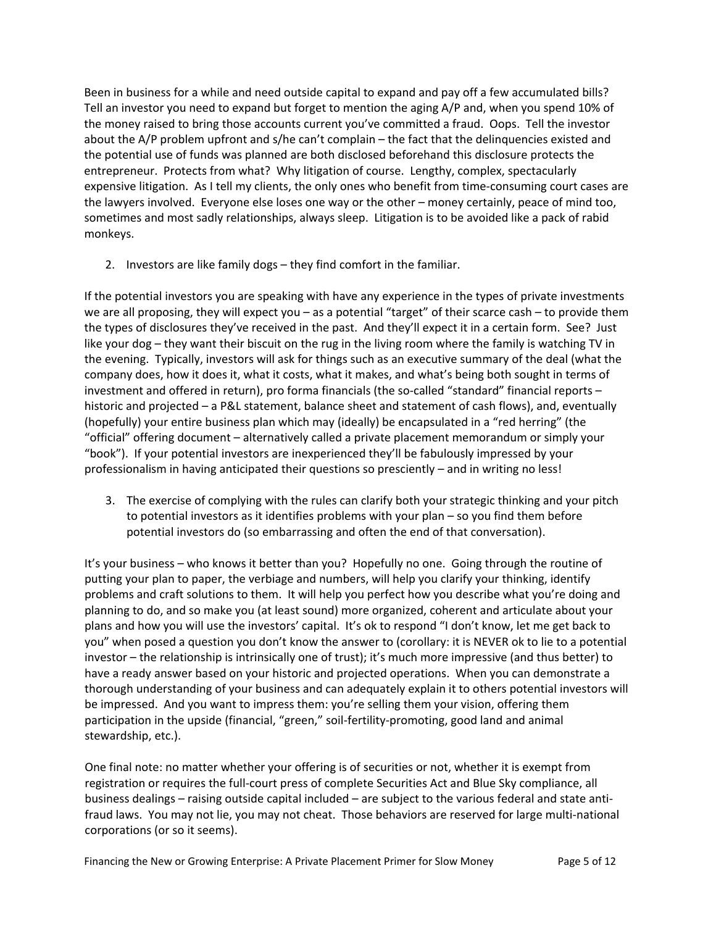Been in business for a while and need outside capital to expand and pay off a few accumulated bills? Tell an investor you need to expand but forget to mention the aging A/P and, when you spend 10% of the money raised to bring those accounts current you've committed a fraud. Oops. Tell the investor about the A/P problem upfront and s/he can't complain – the fact that the delinquencies existed and the potential use of funds was planned are both disclosed beforehand this disclosure protects the entrepreneur. Protects from what? Why litigation of course. Lengthy, complex, spectacularly expensive litigation. As I tell my clients, the only ones who benefit from time-consuming court cases are the lawyers involved. Everyone else loses one way or the other – money certainly, peace of mind too, sometimes and most sadly relationships, always sleep. Litigation is to be avoided like a pack of rabid monkeys.

2. Investors are like family dogs – they find comfort in the familiar.

If the potential investors you are speaking with have any experience in the types of private investments we are all proposing, they will expect you – as a potential "target" of their scarce cash – to provide them the types of disclosures they've received in the past. And they'll expect it in a certain form. See? Just like your dog – they want their biscuit on the rug in the living room where the family is watching TV in the evening. Typically, investors will ask for things such as an executive summary of the deal (what the company does, how it does it, what it costs, what it makes, and what's being both sought in terms of investment and offered in return), pro forma financials (the so-called "standard" financial reports – historic and projected – a P&L statement, balance sheet and statement of cash flows), and, eventually (hopefully) your entire business plan which may (ideally) be encapsulated in a "red herring" (the "official" offering document – alternatively called a private placement memorandum or simply your "book"). If your potential investors are inexperienced they'll be fabulously impressed by your professionalism in having anticipated their questions so presciently – and in writing no less!

3. The exercise of complying with the rules can clarify both your strategic thinking and your pitch to potential investors as it identifies problems with your plan – so you find them before potential investors do (so embarrassing and often the end of that conversation).

It's your business – who knows it better than you? Hopefully no one. Going through the routine of putting your plan to paper, the verbiage and numbers, will help you clarify your thinking, identify problems and craft solutions to them. It will help you perfect how you describe what you're doing and planning to do, and so make you (at least sound) more organized, coherent and articulate about your plans and how you will use the investors' capital. It's ok to respond "I don't know, let me get back to you" when posed a question you don't know the answer to (corollary: it is NEVER ok to lie to a potential investor – the relationship is intrinsically one of trust); it's much more impressive (and thus better) to have a ready answer based on your historic and projected operations. When you can demonstrate a thorough understanding of your business and can adequately explain it to others potential investors will be impressed. And you want to impress them: you're selling them your vision, offering them participation in the upside (financial, "green," soil-fertility-promoting, good land and animal stewardship, etc.).

One final note: no matter whether your offering is of securities or not, whether it is exempt from registration or requires the full‐court press of complete Securities Act and Blue Sky compliance, all business dealings – raising outside capital included – are subject to the various federal and state anti‐ fraud laws. You may not lie, you may not cheat. Those behaviors are reserved for large multi‐national corporations (or so it seems).

Financing the New or Growing Enterprise: A Private Placement Primer for Slow Money Page 5 of 12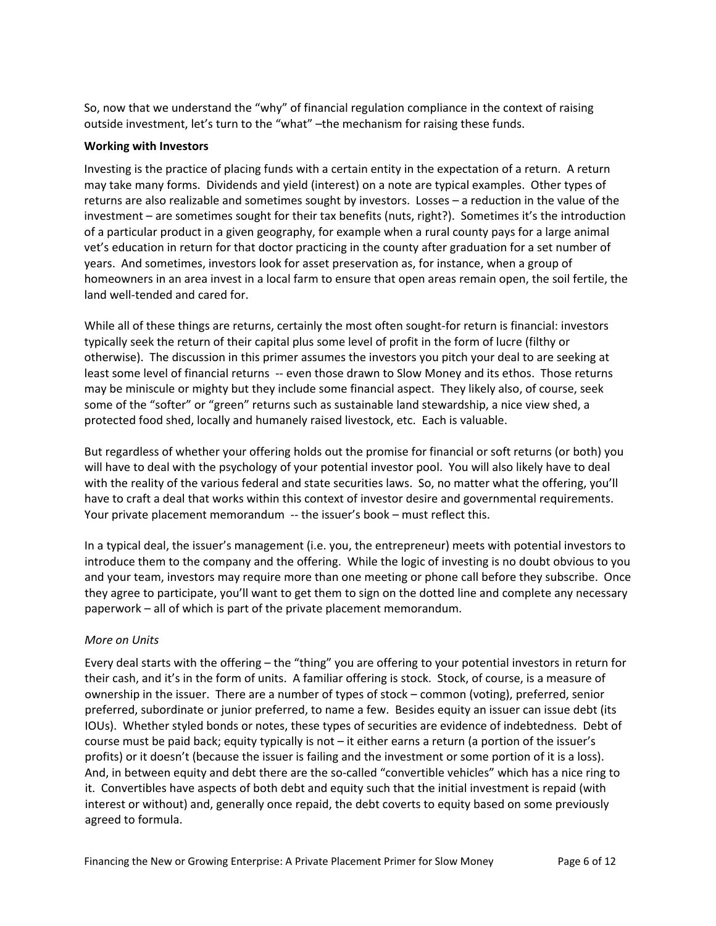So, now that we understand the "why" of financial regulation compliance in the context of raising outside investment, let's turn to the "what" –the mechanism for raising these funds.

#### **Working with Investors**

Investing is the practice of placing funds with a certain entity in the expectation of a return. A return may take many forms. Dividends and yield (interest) on a note are typical examples. Other types of returns are also realizable and sometimes sought by investors. Losses – a reduction in the value of the investment – are sometimes sought for their tax benefits (nuts, right?). Sometimes it's the introduction of a particular product in a given geography, for example when a rural county pays for a large animal vet's education in return for that doctor practicing in the county after graduation for a set number of years. And sometimes, investors look for asset preservation as, for instance, when a group of homeowners in an area invest in a local farm to ensure that open areas remain open, the soil fertile, the land well-tended and cared for.

While all of these things are returns, certainly the most often sought-for return is financial: investors typically seek the return of their capital plus some level of profit in the form of lucre (filthy or otherwise). The discussion in this primer assumes the investors you pitch your deal to are seeking at least some level of financial returns -- even those drawn to Slow Money and its ethos. Those returns may be miniscule or mighty but they include some financial aspect. They likely also, of course, seek some of the "softer" or "green" returns such as sustainable land stewardship, a nice view shed, a protected food shed, locally and humanely raised livestock, etc. Each is valuable.

But regardless of whether your offering holds out the promise for financial or soft returns (or both) you will have to deal with the psychology of your potential investor pool. You will also likely have to deal with the reality of the various federal and state securities laws. So, no matter what the offering, you'll have to craft a deal that works within this context of investor desire and governmental requirements. Your private placement memorandum -- the issuer's book – must reflect this.

In a typical deal, the issuer's management (i.e. you, the entrepreneur) meets with potential investors to introduce them to the company and the offering. While the logic of investing is no doubt obvious to you and your team, investors may require more than one meeting or phone call before they subscribe. Once they agree to participate, you'll want to get them to sign on the dotted line and complete any necessary paperwork – all of which is part of the private placement memorandum.

## *More on Units*

Every deal starts with the offering – the "thing" you are offering to your potential investors in return for their cash, and it's in the form of units. A familiar offering is stock. Stock, of course, is a measure of ownership in the issuer. There are a number of types of stock – common (voting), preferred, senior preferred, subordinate or junior preferred, to name a few. Besides equity an issuer can issue debt (its IOUs). Whether styled bonds or notes, these types of securities are evidence of indebtedness. Debt of course must be paid back; equity typically is not – it either earns a return (a portion of the issuer's profits) or it doesn't (because the issuer is failing and the investment or some portion of it is a loss). And, in between equity and debt there are the so-called "convertible vehicles" which has a nice ring to it. Convertibles have aspects of both debt and equity such that the initial investment is repaid (with interest or without) and, generally once repaid, the debt coverts to equity based on some previously agreed to formula.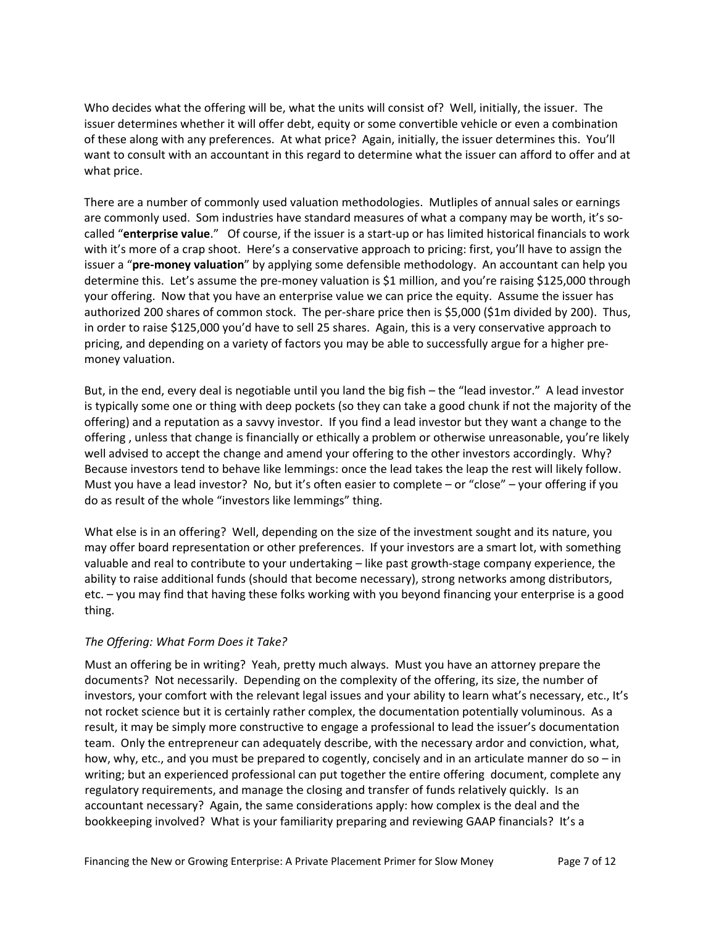Who decides what the offering will be, what the units will consist of? Well, initially, the issuer. The issuer determines whether it will offer debt, equity or some convertible vehicle or even a combination of these along with any preferences. At what price? Again, initially, the issuer determines this. You'll want to consult with an accountant in this regard to determine what the issuer can afford to offer and at what price.

There are a number of commonly used valuation methodologies. Mutliples of annual sales or earnings are commonly used. Som industries have standard measures of what a company may be worth, it's socalled "**enterprise value**." Of course, if the issuer is a start‐up or has limited historical financials to work with it's more of a crap shoot. Here's a conservative approach to pricing: first, you'll have to assign the issuer a "**pre‐money valuation**" by applying some defensible methodology. An accountant can help you determine this. Let's assume the pre‐money valuation is \$1 million, and you're raising \$125,000 through your offering. Now that you have an enterprise value we can price the equity. Assume the issuer has authorized 200 shares of common stock. The per-share price then is \$5,000 (\$1m divided by 200). Thus, in order to raise \$125,000 you'd have to sell 25 shares. Again, this is a very conservative approach to pricing, and depending on a variety of factors you may be able to successfully argue for a higher pre‐ money valuation.

But, in the end, every deal is negotiable until you land the big fish – the "lead investor." A lead investor is typically some one or thing with deep pockets (so they can take a good chunk if not the majority of the offering) and a reputation as a savvy investor. If you find a lead investor but they want a change to the offering , unless that change is financially or ethically a problem or otherwise unreasonable, you're likely well advised to accept the change and amend your offering to the other investors accordingly. Why? Because investors tend to behave like lemmings: once the lead takes the leap the rest will likely follow. Must you have a lead investor? No, but it's often easier to complete – or "close" – your offering if you do as result of the whole "investors like lemmings" thing.

What else is in an offering? Well, depending on the size of the investment sought and its nature, you may offer board representation or other preferences. If your investors are a smart lot, with something valuable and real to contribute to your undertaking – like past growth‐stage company experience, the ability to raise additional funds (should that become necessary), strong networks among distributors, etc. – you may find that having these folks working with you beyond financing your enterprise is a good thing.

## *The Offering: What Form Does it Take?*

Must an offering be in writing? Yeah, pretty much always. Must you have an attorney prepare the documents? Not necessarily. Depending on the complexity of the offering, its size, the number of investors, your comfort with the relevant legal issues and your ability to learn what's necessary, etc., It's not rocket science but it is certainly rather complex, the documentation potentially voluminous. As a result, it may be simply more constructive to engage a professional to lead the issuer's documentation team. Only the entrepreneur can adequately describe, with the necessary ardor and conviction, what, how, why, etc., and you must be prepared to cogently, concisely and in an articulate manner do so – in writing; but an experienced professional can put together the entire offering document, complete any regulatory requirements, and manage the closing and transfer of funds relatively quickly. Is an accountant necessary? Again, the same considerations apply: how complex is the deal and the bookkeeping involved? What is your familiarity preparing and reviewing GAAP financials? It's a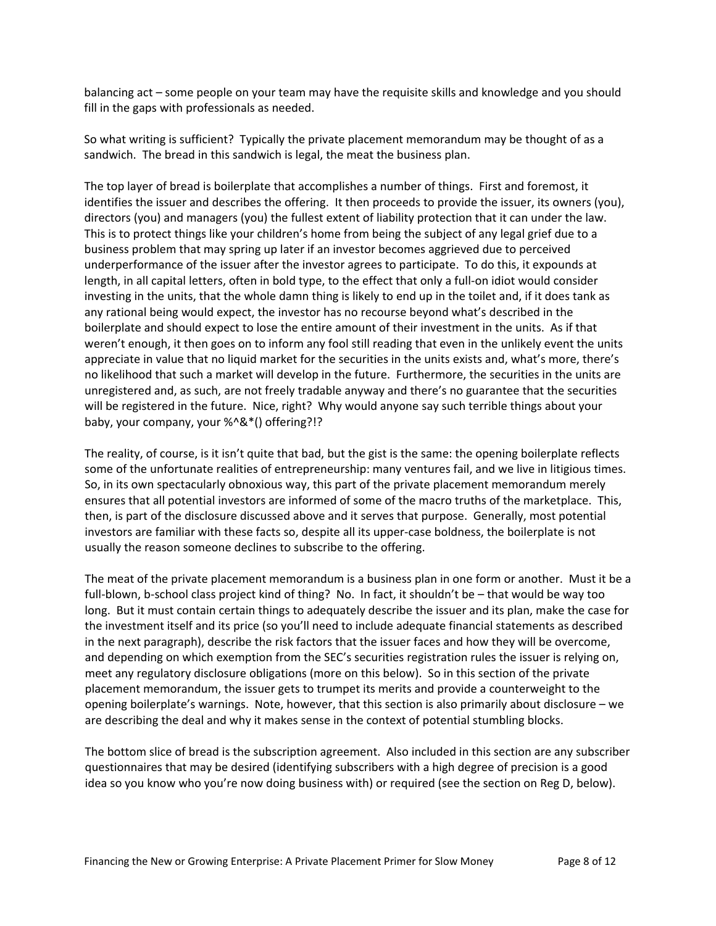balancing act – some people on your team may have the requisite skills and knowledge and you should fill in the gaps with professionals as needed.

So what writing is sufficient? Typically the private placement memorandum may be thought of as a sandwich. The bread in this sandwich is legal, the meat the business plan.

The top layer of bread is boilerplate that accomplishes a number of things. First and foremost, it identifies the issuer and describes the offering. It then proceeds to provide the issuer, its owners (you), directors (you) and managers (you) the fullest extent of liability protection that it can under the law. This is to protect things like your children's home from being the subject of any legal grief due to a business problem that may spring up later if an investor becomes aggrieved due to perceived underperformance of the issuer after the investor agrees to participate. To do this, it expounds at length, in all capital letters, often in bold type, to the effect that only a full‐on idiot would consider investing in the units, that the whole damn thing is likely to end up in the toilet and, if it does tank as any rational being would expect, the investor has no recourse beyond what's described in the boilerplate and should expect to lose the entire amount of their investment in the units. As if that weren't enough, it then goes on to inform any fool still reading that even in the unlikely event the units appreciate in value that no liquid market for the securities in the units exists and, what's more, there's no likelihood that such a market will develop in the future. Furthermore, the securities in the units are unregistered and, as such, are not freely tradable anyway and there's no guarantee that the securities will be registered in the future. Nice, right? Why would anyone say such terrible things about your baby, your company, your %^&\*() offering?!?

The reality, of course, is it isn't quite that bad, but the gist is the same: the opening boilerplate reflects some of the unfortunate realities of entrepreneurship: many ventures fail, and we live in litigious times. So, in its own spectacularly obnoxious way, this part of the private placement memorandum merely ensures that all potential investors are informed of some of the macro truths of the marketplace. This, then, is part of the disclosure discussed above and it serves that purpose. Generally, most potential investors are familiar with these facts so, despite all its upper‐case boldness, the boilerplate is not usually the reason someone declines to subscribe to the offering.

The meat of the private placement memorandum is a business plan in one form or another. Must it be a full-blown, b-school class project kind of thing? No. In fact, it shouldn't be – that would be way too long. But it must contain certain things to adequately describe the issuer and its plan, make the case for the investment itself and its price (so you'll need to include adequate financial statements as described in the next paragraph), describe the risk factors that the issuer faces and how they will be overcome, and depending on which exemption from the SEC's securities registration rules the issuer is relying on, meet any regulatory disclosure obligations (more on this below). So in this section of the private placement memorandum, the issuer gets to trumpet its merits and provide a counterweight to the opening boilerplate's warnings. Note, however, that this section is also primarily about disclosure – we are describing the deal and why it makes sense in the context of potential stumbling blocks.

The bottom slice of bread is the subscription agreement. Also included in this section are any subscriber questionnaires that may be desired (identifying subscribers with a high degree of precision is a good idea so you know who you're now doing business with) or required (see the section on Reg D, below).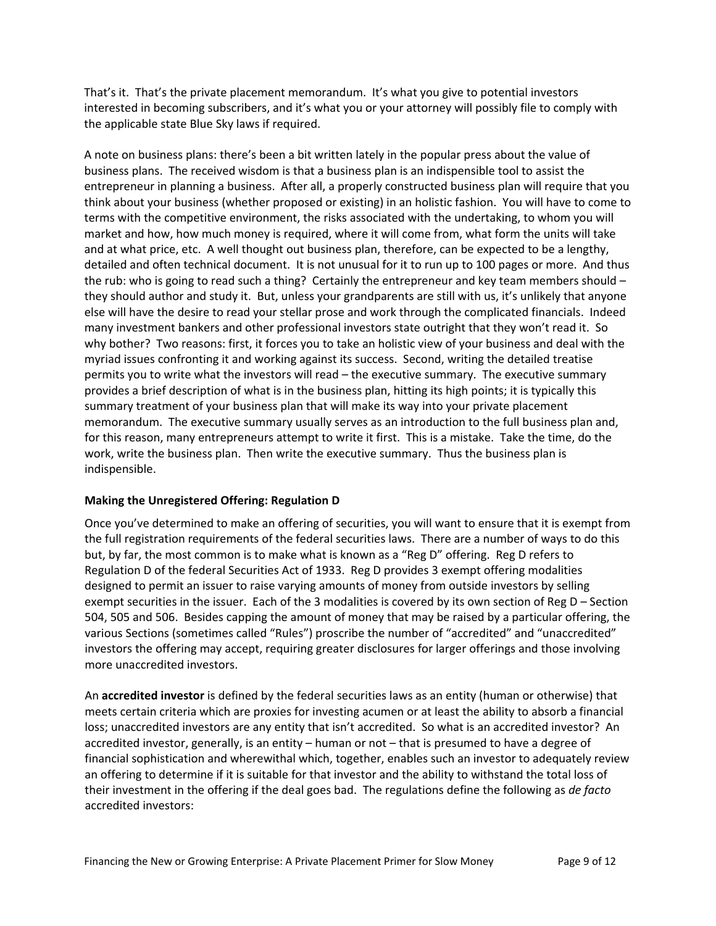That's it. That's the private placement memorandum. It's what you give to potential investors interested in becoming subscribers, and it's what you or your attorney will possibly file to comply with the applicable state Blue Sky laws if required.

A note on business plans: there's been a bit written lately in the popular press about the value of business plans. The received wisdom is that a business plan is an indispensible tool to assist the entrepreneur in planning a business. After all, a properly constructed business plan will require that you think about your business (whether proposed or existing) in an holistic fashion. You will have to come to terms with the competitive environment, the risks associated with the undertaking, to whom you will market and how, how much money is required, where it will come from, what form the units will take and at what price, etc. A well thought out business plan, therefore, can be expected to be a lengthy, detailed and often technical document. It is not unusual for it to run up to 100 pages or more. And thus the rub: who is going to read such a thing? Certainly the entrepreneur and key team members should – they should author and study it. But, unless your grandparents are still with us, it's unlikely that anyone else will have the desire to read your stellar prose and work through the complicated financials. Indeed many investment bankers and other professional investors state outright that they won't read it. So why bother? Two reasons: first, it forces you to take an holistic view of your business and deal with the myriad issues confronting it and working against its success. Second, writing the detailed treatise permits you to write what the investors will read – the executive summary. The executive summary provides a brief description of what is in the business plan, hitting its high points; it is typically this summary treatment of your business plan that will make its way into your private placement memorandum. The executive summary usually serves as an introduction to the full business plan and, for this reason, many entrepreneurs attempt to write it first. This is a mistake. Take the time, do the work, write the business plan. Then write the executive summary. Thus the business plan is indispensible.

## **Making the Unregistered Offering: Regulation D**

Once you've determined to make an offering of securities, you will want to ensure that it is exempt from the full registration requirements of the federal securities laws. There are a number of ways to do this but, by far, the most common is to make what is known as a "Reg D" offering. Reg D refers to Regulation D of the federal Securities Act of 1933. Reg D provides 3 exempt offering modalities designed to permit an issuer to raise varying amounts of money from outside investors by selling exempt securities in the issuer. Each of the 3 modalities is covered by its own section of Reg D – Section 504, 505 and 506. Besides capping the amount of money that may be raised by a particular offering, the various Sections (sometimes called "Rules") proscribe the number of "accredited" and "unaccredited" investors the offering may accept, requiring greater disclosures for larger offerings and those involving more unaccredited investors.

An **accredited investor** is defined by the federal securities laws as an entity (human or otherwise) that meets certain criteria which are proxies for investing acumen or at least the ability to absorb a financial loss; unaccredited investors are any entity that isn't accredited. So what is an accredited investor? An accredited investor, generally, is an entity – human or not – that is presumed to have a degree of financial sophistication and wherewithal which, together, enables such an investor to adequately review an offering to determine if it is suitable for that investor and the ability to withstand the total loss of their investment in the offering if the deal goes bad. The regulations define the following as *de facto* accredited investors: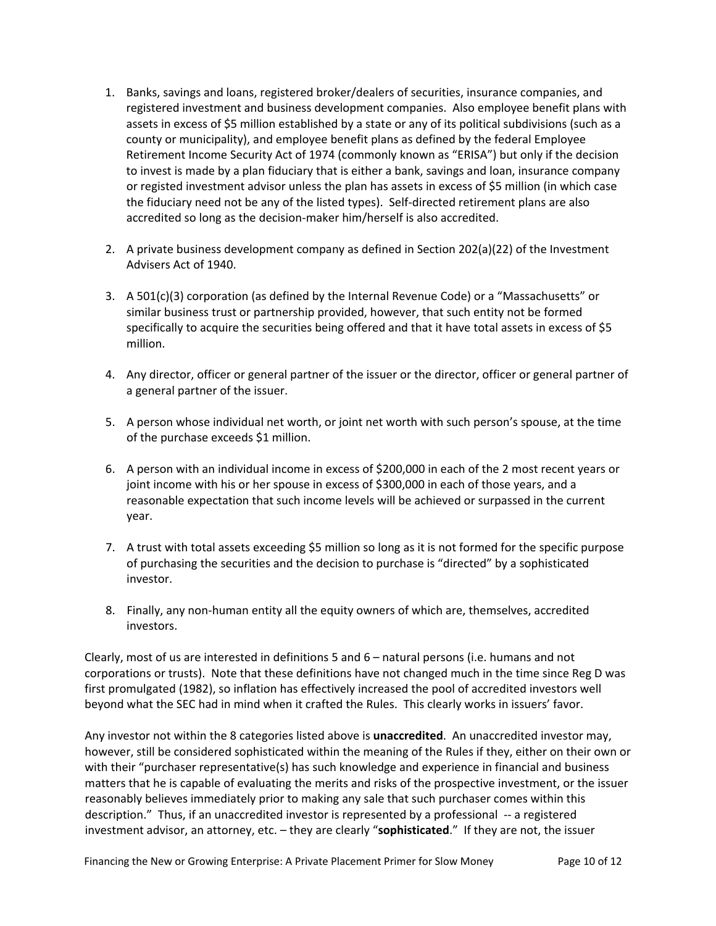- 1. Banks, savings and loans, registered broker/dealers of securities, insurance companies, and registered investment and business development companies. Also employee benefit plans with assets in excess of \$5 million established by a state or any of its political subdivisions (such as a county or municipality), and employee benefit plans as defined by the federal Employee Retirement Income Security Act of 1974 (commonly known as "ERISA") but only if the decision to invest is made by a plan fiduciary that is either a bank, savings and loan, insurance company or registed investment advisor unless the plan has assets in excess of \$5 million (in which case the fiduciary need not be any of the listed types). Self‐directed retirement plans are also accredited so long as the decision‐maker him/herself is also accredited.
- 2. A private business development company as defined in Section 202(a)(22) of the Investment Advisers Act of 1940.
- 3. A 501(c)(3) corporation (as defined by the Internal Revenue Code) or a "Massachusetts" or similar business trust or partnership provided, however, that such entity not be formed specifically to acquire the securities being offered and that it have total assets in excess of \$5 million.
- 4. Any director, officer or general partner of the issuer or the director, officer or general partner of a general partner of the issuer.
- 5. A person whose individual net worth, or joint net worth with such person's spouse, at the time of the purchase exceeds \$1 million.
- 6. A person with an individual income in excess of \$200,000 in each of the 2 most recent years or joint income with his or her spouse in excess of \$300,000 in each of those years, and a reasonable expectation that such income levels will be achieved or surpassed in the current year.
- 7. A trust with total assets exceeding \$5 million so long as it is not formed for the specific purpose of purchasing the securities and the decision to purchase is "directed" by a sophisticated investor.
- 8. Finally, any non‐human entity all the equity owners of which are, themselves, accredited investors.

Clearly, most of us are interested in definitions 5 and 6 – natural persons (i.e. humans and not corporations or trusts). Note that these definitions have not changed much in the time since Reg D was first promulgated (1982), so inflation has effectively increased the pool of accredited investors well beyond what the SEC had in mind when it crafted the Rules. This clearly works in issuers' favor.

Any investor not within the 8 categories listed above is **unaccredited**. An unaccredited investor may, however, still be considered sophisticated within the meaning of the Rules if they, either on their own or with their "purchaser representative(s) has such knowledge and experience in financial and business matters that he is capable of evaluating the merits and risks of the prospective investment, or the issuer reasonably believes immediately prior to making any sale that such purchaser comes within this description." Thus, if an unaccredited investor is represented by a professional ‐‐ a registered investment advisor, an attorney, etc. – they are clearly "**sophisticated**." If they are not, the issuer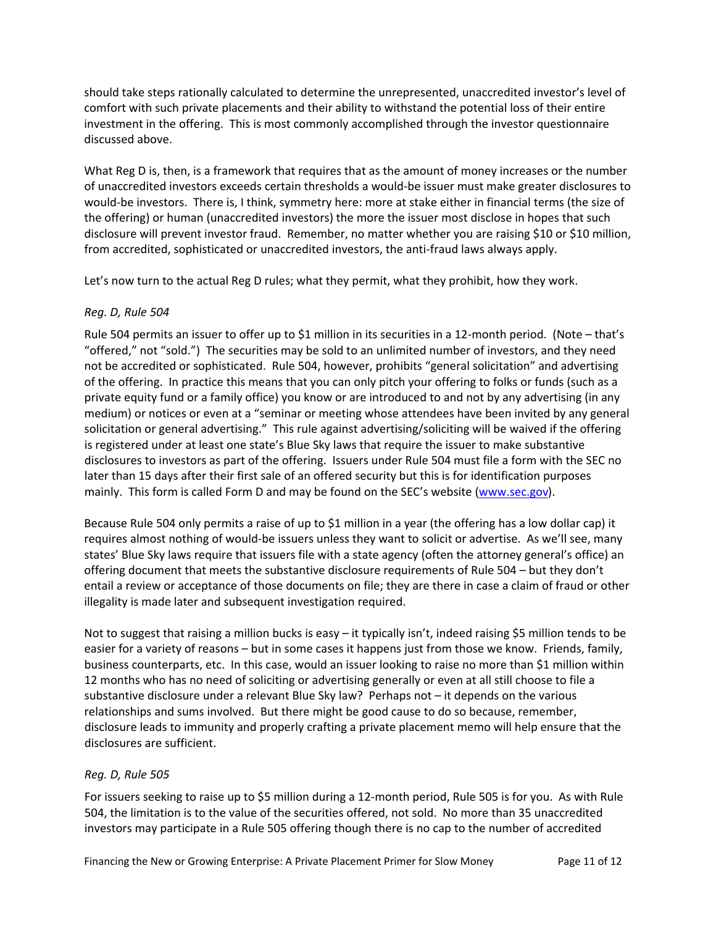should take steps rationally calculated to determine the unrepresented, unaccredited investor's level of comfort with such private placements and their ability to withstand the potential loss of their entire investment in the offering. This is most commonly accomplished through the investor questionnaire discussed above.

What Reg D is, then, is a framework that requires that as the amount of money increases or the number of unaccredited investors exceeds certain thresholds a would‐be issuer must make greater disclosures to would‐be investors. There is, I think, symmetry here: more at stake either in financial terms (the size of the offering) or human (unaccredited investors) the more the issuer most disclose in hopes that such disclosure will prevent investor fraud. Remember, no matter whether you are raising \$10 or \$10 million, from accredited, sophisticated or unaccredited investors, the anti-fraud laws always apply.

Let's now turn to the actual Reg D rules; what they permit, what they prohibit, how they work.

# *Reg. D, Rule 504*

Rule 504 permits an issuer to offer up to \$1 million in its securities in a 12-month period. (Note – that's "offered," not "sold.") The securities may be sold to an unlimited number of investors, and they need not be accredited or sophisticated. Rule 504, however, prohibits "general solicitation" and advertising of the offering. In practice this means that you can only pitch your offering to folks or funds (such as a private equity fund or a family office) you know or are introduced to and not by any advertising (in any medium) or notices or even at a "seminar or meeting whose attendees have been invited by any general solicitation or general advertising." This rule against advertising/soliciting will be waived if the offering is registered under at least one state's Blue Sky laws that require the issuer to make substantive disclosures to investors as part of the offering. Issuers under Rule 504 must file a form with the SEC no later than 15 days after their first sale of an offered security but this is for identification purposes mainly. This form is called Form D and may be found on the SEC's website [\(www.sec.gov\)](http://www.sec.gov/).

Because Rule 504 only permits a raise of up to \$1 million in a year (the offering has a low dollar cap) it requires almost nothing of would‐be issuers unless they want to solicit or advertise. As we'll see, many states' Blue Sky laws require that issuers file with a state agency (often the attorney general's office) an offering document that meets the substantive disclosure requirements of Rule 504 – but they don't entail a review or acceptance of those documents on file; they are there in case a claim of fraud or other illegality is made later and subsequent investigation required.

Not to suggest that raising a million bucks is easy – it typically isn't, indeed raising \$5 million tends to be easier for a variety of reasons – but in some cases it happens just from those we know. Friends, family, business counterparts, etc. In this case, would an issuer looking to raise no more than \$1 million within 12 months who has no need of soliciting or advertising generally or even at all still choose to file a substantive disclosure under a relevant Blue Sky law? Perhaps not – it depends on the various relationships and sums involved. But there might be good cause to do so because, remember, disclosure leads to immunity and properly crafting a private placement memo will help ensure that the disclosures are sufficient.

## *Reg. D, Rule 505*

For issuers seeking to raise up to \$5 million during a 12‐month period, Rule 505 is for you. As with Rule 504, the limitation is to the value of the securities offered, not sold. No more than 35 unaccredited investors may participate in a Rule 505 offering though there is no cap to the number of accredited

Financing the New or Growing Enterprise: A Private Placement Primer for Slow Money Page 11 of 12